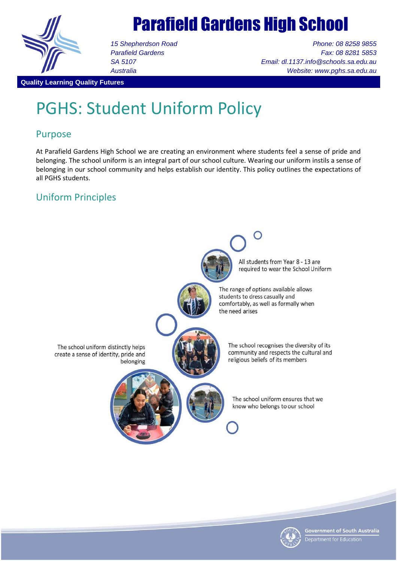

# Parafield Gardens High School

*15 Shepherdson Road Parafield Gardens SA 5107 Australia*

*Phone: 08 8258 9855 Fax: 08 8281 5853 Email: dl.1137.info@schools.sa.edu.au Website: www.pghs.sa.edu.au*

#### **Quality Learning Quality Futures**

## PGHS: Student Uniform Policy

## Purpose

At Parafield Gardens High School we are creating an environment where students feel a sense of pride and belonging. The school uniform is an integral part of our school culture. Wearing our uniform instils a sense of belonging in our school community and helps establish our identity. This policy outlines the expectations of all PGHS students.

## Uniform Principles



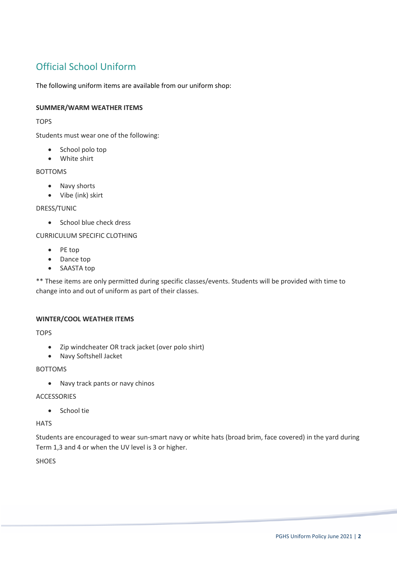## Official School Uniform

The following uniform items are available from our uniform shop:

#### **SUMMER/WARM WEATHER ITEMS**

**TOPS** 

Students must wear one of the following:

- School polo top
- White shirt

## BOTTOMS

- Navy shorts
- Vibe (ink) skirt

#### DRESS/TUNIC

• School blue check dress

CURRICULUM SPECIFIC CLOTHING

- PE top
- Dance top
- SAASTA top

\*\* These items are only permitted during specific classes/events. Students will be provided with time to change into and out of uniform as part of their classes.

#### **WINTER/COOL WEATHER ITEMS**

**TOPS** 

- Zip windcheater OR track jacket (over polo shirt)
- Navy Softshell Jacket

#### BOTTOMS

Navy track pants or navy chinos

#### ACCESSORIES

• School tie

## **HATS**

Students are encouraged to wear sun-smart navy or white hats (broad brim, face covered) in the yard during Term 1,3 and 4 or when the UV level is 3 or higher.

SHOES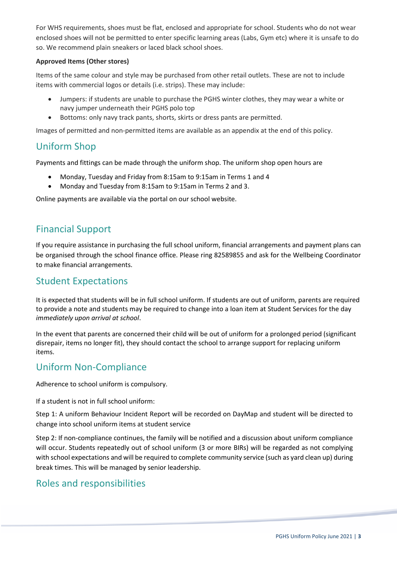For WHS requirements, shoes must be flat, enclosed and appropriate for school. Students who do not wear enclosed shoes will not be permitted to enter specific learning areas (Labs, Gym etc) where it is unsafe to do so. We recommend plain sneakers or laced black school shoes.

## **Approved Items (Other stores)**

Items of the same colour and style may be purchased from other retail outlets. These are not to include items with commercial logos or details (i.e. strips). These may include:

- Jumpers: if students are unable to purchase the PGHS winter clothes, they may wear a white or navy jumper underneath their PGHS polo top
- Bottoms: only navy track pants, shorts, skirts or dress pants are permitted.

Images of permitted and non-permitted items are available as an appendix at the end of this policy.

## Uniform Shop

Payments and fittings can be made through the uniform shop. The uniform shop open hours are

- Monday, Tuesday and Friday from 8:15am to 9:15am in Terms 1 and 4
- Monday and Tuesday from 8:15am to 9:15am in Terms 2 and 3.

Online payments are available via the portal on our school website.

## Financial Support

If you require assistance in purchasing the full school uniform, financial arrangements and payment plans can be organised through the school finance office. Please ring 82589855 and ask for the Wellbeing Coordinator to make financial arrangements.

## Student Expectations

It is expected that students will be in full school uniform. If students are out of uniform, parents are required to provide a note and students may be required to change into a loan item at Student Services for the day *immediately upon arrival at school*.

In the event that parents are concerned their child will be out of uniform for a prolonged period (significant disrepair, items no longer fit), they should contact the school to arrange support for replacing uniform items.

## Uniform Non-Compliance

Adherence to school uniform is compulsory.

If a student is not in full school uniform:

Step 1: A uniform Behaviour Incident Report will be recorded on DayMap and student will be directed to change into school uniform items at student service

Step 2: If non-compliance continues, the family will be notified and a discussion about uniform compliance will occur. Students repeatedly out of school uniform (3 or more BIRs) will be regarded as not complying with school expectations and will be required to complete community service (such as yard clean up) during break times. This will be managed by senior leadership.

## Roles and responsibilities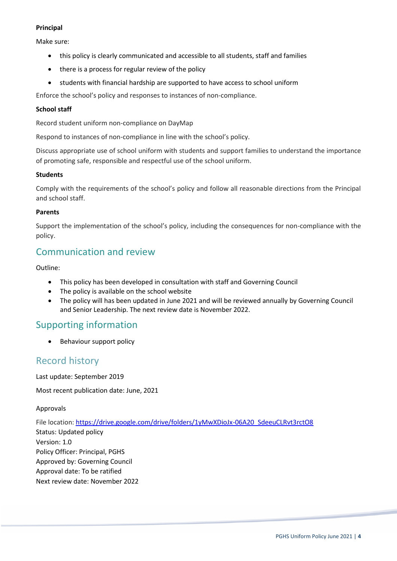#### **Principal**

Make sure:

- this policy is clearly communicated and accessible to all students, staff and families
- there is a process for regular review of the policy
- students with financial hardship are supported to have access to school uniform

Enforce the school's policy and responses to instances of non-compliance.

## **School staff**

Record student uniform non-compliance on DayMap

Respond to instances of non-compliance in line with the school's policy.

Discuss appropriate use of school uniform with students and support families to understand the importance of promoting safe, responsible and respectful use of the school uniform.

#### **Students**

Comply with the requirements of the school's policy and follow all reasonable directions from the Principal and school staff.

#### **Parents**

Support the implementation of the school's policy, including the consequences for non-compliance with the policy.

## Communication and review

Outline:

- This policy has been developed in consultation with staff and Governing Council
- The policy is available on the school website
- The policy will has been updated in June 2021 and will be reviewed annually by Governing Council and Senior Leadership. The next review date is November 2022.

## Supporting information

• Behaviour support policy

## Record history

Last update: September 2019

Most recent publication date: June, 2021

Approvals

File location: [https://drive.google.com/drive/folders/1yMwXDioJx-06A20\\_SdeeuCLRvt3rctO8](https://drive.google.com/drive/folders/1yMwXDioJx-06A20_SdeeuCLRvt3rctO8)

Status: Updated policy Version: 1.0 Policy Officer: Principal, PGHS Approved by: Governing Council Approval date: To be ratified Next review date: November 2022